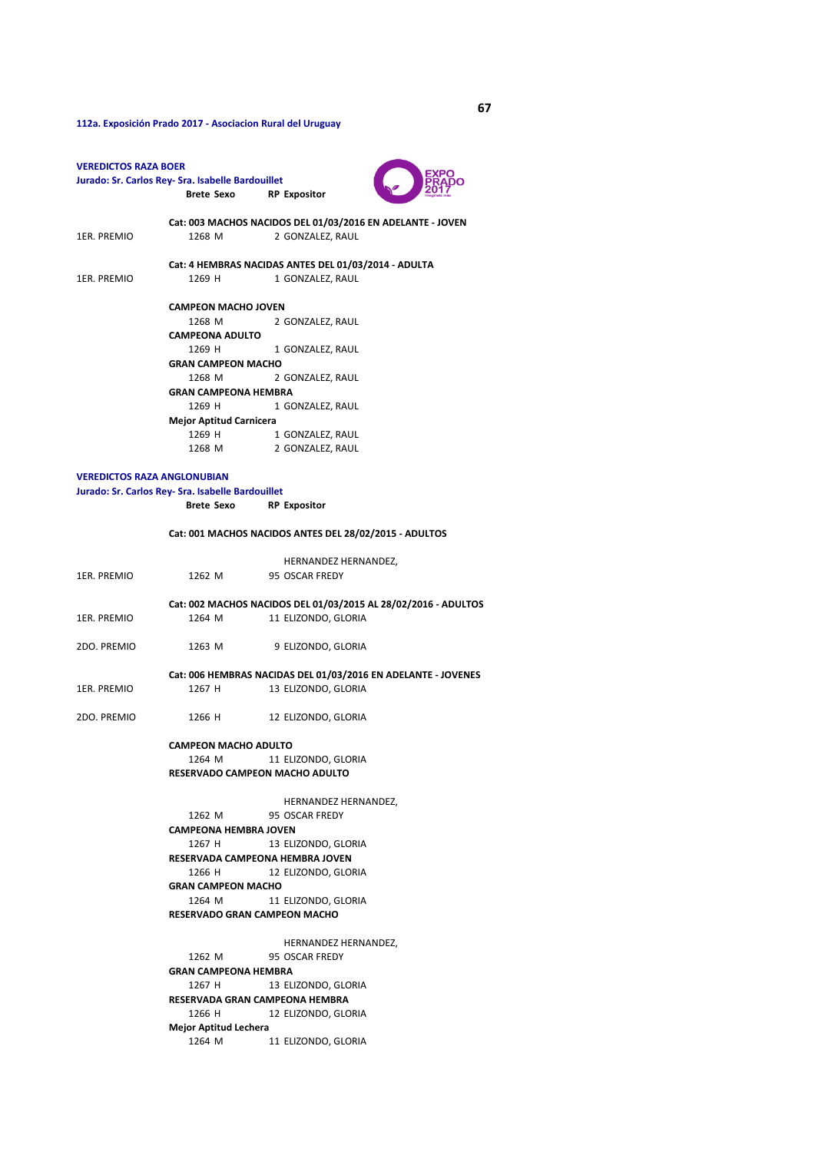**Brete Sexo RP Expositor** 1ER. PREMIO 1268 M 2 GONZALEZ, RAUL 1ER. PREMIO 1269 H 1 GONZALEZ, RAUL 1268 M 2 GONZALEZ, RAUL 1269 H 1 GONZALEZ, RAUL 1268 M 2 GONZALEZ, RAUL 1269 H 1 GONZALEZ, RAUL 1269 H 1 GONZALEZ, RAUL 1268 M 2 GONZALEZ, RAUL **Brete Sexo RP Expositor** HERNANDEZ HERNANDEZ, **Cat: 001 MACHOS NACIDOS ANTES DEL 28/02/2015 - ADULTOS CAMPEONA ADULTO GRAN CAMPEON MACHO GRAN CAMPEONA HEMBRA Mejor Aptitud Carnicera VEREDICTOS RAZA ANGLONUBIAN Jurado: Sr. Carlos Rey- Sra. Isabelle Bardouillet 112a. Exposición Prado 2017 - Asociacion Rural del Uruguay VEREDICTOS RAZA BOER Jurado: Sr. Carlos Rey- Sra. Isabelle Bardouillet Cat: 003 MACHOS NACIDOS DEL 01/03/2016 EN ADELANTE - JOVEN Cat: 4 HEMBRAS NACIDAS ANTES DEL 01/03/2014 - ADULTA CAMPEON MACHO JOVEN** 

| 1ER. PREMIO |                                     | 1262 M 95 OSCAR FREDY                                          |  |  |  |  |
|-------------|-------------------------------------|----------------------------------------------------------------|--|--|--|--|
|             |                                     | Cat: 002 MACHOS NACIDOS DEL 01/03/2015 AL 28/02/2016 - ADULTOS |  |  |  |  |
| 1ER. PREMIO | 1264 M                              | 11 ELIZONDO, GLORIA                                            |  |  |  |  |
| 2DO. PREMIO | 1263 M                              | 9 ELIZONDO, GLORIA                                             |  |  |  |  |
|             |                                     | Cat: 006 HEMBRAS NACIDAS DEL 01/03/2016 EN ADELANTE - JOVENES  |  |  |  |  |
| 1ER. PREMIO | 1267 H                              | 13 ELIZONDO, GLORIA                                            |  |  |  |  |
| 2DO. PREMIO | 1266 H                              | 12 ELIZONDO, GLORIA                                            |  |  |  |  |
|             | <b>CAMPEON MACHO ADULTO</b>         |                                                                |  |  |  |  |
|             | 1264 M                              | 11 ELIZONDO, GLORIA                                            |  |  |  |  |
|             | RESERVADO CAMPEON MACHO ADULTO      |                                                                |  |  |  |  |
|             |                                     | HERNANDEZ HERNANDEZ,                                           |  |  |  |  |
|             |                                     | 1262 M 95 OSCAR FREDY                                          |  |  |  |  |
|             | <b>CAMPEONA HEMBRA JOVEN</b>        |                                                                |  |  |  |  |
|             | 1267 H                              | 13 ELIZONDO, GLORIA                                            |  |  |  |  |
|             | RESERVADA CAMPEONA HEMBRA JOVEN     |                                                                |  |  |  |  |
|             | 1266 H                              | 12 ELIZONDO, GLORIA                                            |  |  |  |  |
|             | <b>GRAN CAMPEON MACHO</b>           |                                                                |  |  |  |  |
|             |                                     | 1264 M 11 ELIZONDO, GLORIA                                     |  |  |  |  |
|             | <b>RESERVADO GRAN CAMPEON MACHO</b> |                                                                |  |  |  |  |
|             |                                     | HERNANDEZ HERNANDEZ,                                           |  |  |  |  |
|             |                                     | 1262 M 95 OSCAR FREDY                                          |  |  |  |  |
|             | GRAN CAMPEONA HEMBRA                |                                                                |  |  |  |  |
|             | 1267 H                              | 13 ELIZONDO, GLORIA                                            |  |  |  |  |
|             | RESERVADA GRAN CAMPEONA HEMBRA      |                                                                |  |  |  |  |
|             |                                     | 1266 H<br>12 ELIZONDO, GLORIA                                  |  |  |  |  |
|             | <b>Mejor Aptitud Lechera</b>        |                                                                |  |  |  |  |
|             |                                     | 1264 M 11 ELIZONDO, GLORIA                                     |  |  |  |  |
|             |                                     |                                                                |  |  |  |  |

уо<br>До